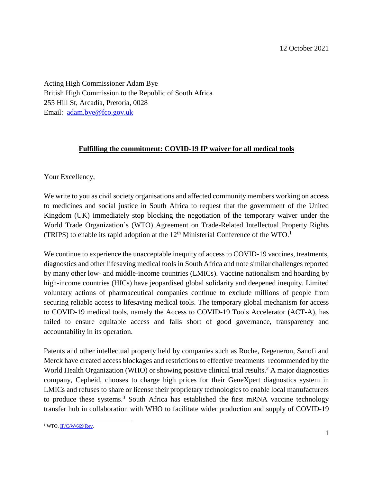Acting High Commissioner Adam Bye British High Commission to the Republic of South Africa 255 Hill St, Arcadia, Pretoria, 0028 Email: [adam.bye@fco.gov.uk](mailto:adam.bye@fco.gov.uk)

## **Fulfilling the commitment: COVID-19 IP waiver for all medical tools**

Your Excellency,

We write to you as civil society organisations and affected community members working on access to medicines and social justice in South Africa to request that the government of the United Kingdom (UK) immediately stop blocking the negotiation of the temporary waiver under the World Trade Organization's (WTO) Agreement on Trade-Related Intellectual Property Rights (TRIPS) to enable its rapid adoption at the  $12<sup>th</sup>$  Ministerial Conference of the WTO.<sup>1</sup>

We continue to experience the unacceptable inequity of access to COVID-19 vaccines, treatments, diagnostics and other lifesaving medical tools in South Africa and note similar challenges reported by many other low- and middle-income countries (LMICs). Vaccine nationalism and hoarding by high-income countries (HICs) have jeopardised global solidarity and deepened inequity. Limited voluntary actions of pharmaceutical companies continue to exclude millions of people from securing reliable access to lifesaving medical tools. The temporary global mechanism for access to COVID-19 medical tools, namely the Access to COVID-19 Tools Accelerator (ACT-A), has failed to ensure equitable access and falls short of good governance, transparency and accountability in its operation.

Patents and other intellectual property held by companies such as Roche, Regeneron, Sanofi and Merck have created access blockages and restrictions to effective treatments recommended by the World Health Organization (WHO) or showing positive clinical trial results. <sup>2</sup> A major diagnostics company, Cepheid, chooses to charge high prices for their GeneXpert diagnostics system in LMICs and refuses to share or license their proprietary technologies to enable local manufacturers to produce these systems. <sup>3</sup> South Africa has established the first mRNA vaccine technology transfer hub in collaboration with WHO to facilitate wider production and supply of COVID-19

 $\overline{a}$  $1$  WTO,  $IP/C/W/669$  Rev.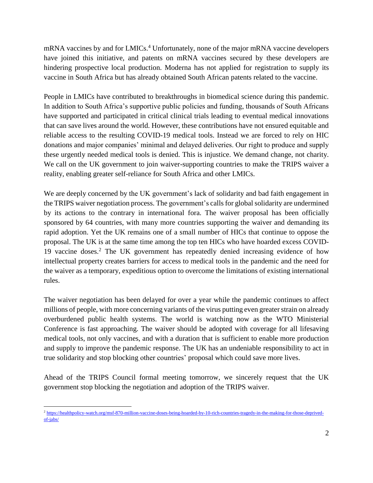mRNA vaccines by and for LMICs. <sup>4</sup> Unfortunately, none of the major mRNA vaccine developers have joined this initiative, and patents on mRNA vaccines secured by these developers are hindering prospective local production. Moderna has not applied for registration to supply its vaccine in South Africa but has already obtained South African patents related to the vaccine.

People in LMICs have contributed to breakthroughs in biomedical science during this pandemic. In addition to South Africa's supportive public policies and funding, thousands of South Africans have supported and participated in critical clinical trials leading to eventual medical innovations that can save lives around the world. However, these contributions have not ensured equitable and reliable access to the resulting COVID-19 medical tools. Instead we are forced to rely on HIC donations and major companies' minimal and delayed deliveries. Our right to produce and supply these urgently needed medical tools is denied. This is injustice. We demand change, not charity. We call on the UK government to join waiver-supporting countries to make the TRIPS waiver a reality, enabling greater self-reliance for South Africa and other LMICs.

We are deeply concerned by the UK government's lack of solidarity and bad faith engagement in the TRIPS waiver negotiation process. The government's calls for global solidarity are undermined by its actions to the contrary in international fora. The waiver proposal has been officially sponsored by 64 countries, with many more countries supporting the waiver and demanding its rapid adoption. Yet the UK remains one of a small number of HICs that continue to oppose the proposal. The UK is at the same time among the top ten HICs who have hoarded excess COVID-19 vaccine doses. <sup>2</sup> The UK government has repeatedly denied increasing evidence of how intellectual property creates barriers for access to medical tools in the pandemic and the need for the waiver as a temporary, expeditious option to overcome the limitations of existing international rules.

The waiver negotiation has been delayed for over a year while the pandemic continues to affect millions of people, with more concerning variants of the virus putting even greater strain on already overburdened public health systems. The world is watching now as the WTO Ministerial Conference is fast approaching. The waiver should be adopted with coverage for all lifesaving medical tools, not only vaccines, and with a duration that is sufficient to enable more production and supply to improve the pandemic response. The UK has an undeniable responsibility to act in true solidarity and stop blocking other countries' proposal which could save more lives.

Ahead of the TRIPS Council formal meeting tomorrow, we sincerely request that the UK government stop blocking the negotiation and adoption of the TRIPS waiver.

 $\overline{\phantom{a}}$ <sup>2</sup> [https://healthpolicy-watch.org/msf-870-million-vaccine-doses-being-hoarded-by-10-rich-countries-tragedy-in-the-making-for-those-deprived](https://healthpolicy-watch.org/msf-870-million-vaccine-doses-being-hoarded-by-10-rich-countries-tragedy-in-the-making-for-those-deprived-of-jabs/)[of-jabs/](https://healthpolicy-watch.org/msf-870-million-vaccine-doses-being-hoarded-by-10-rich-countries-tragedy-in-the-making-for-those-deprived-of-jabs/)